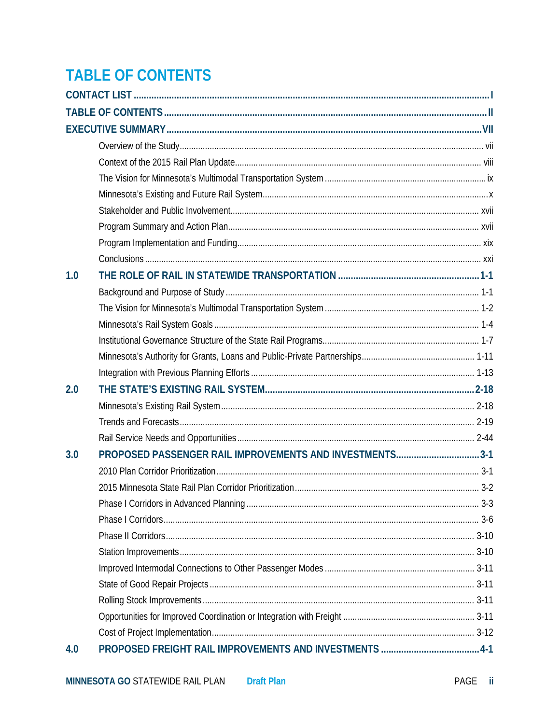## <span id="page-0-0"></span>**TABLE OF CONTENTS**

| 1.0 |                                                         |  |
|-----|---------------------------------------------------------|--|
|     |                                                         |  |
|     |                                                         |  |
|     |                                                         |  |
|     |                                                         |  |
|     |                                                         |  |
|     |                                                         |  |
| 2.0 |                                                         |  |
|     |                                                         |  |
|     |                                                         |  |
|     |                                                         |  |
| 3.0 | PROPOSED PASSENGER RAIL IMPROVEMENTS AND INVESTMENTS3-1 |  |
|     |                                                         |  |
|     |                                                         |  |
|     |                                                         |  |
|     |                                                         |  |
|     |                                                         |  |
|     |                                                         |  |
|     |                                                         |  |
|     |                                                         |  |
|     |                                                         |  |
|     |                                                         |  |
|     |                                                         |  |
| 4.0 |                                                         |  |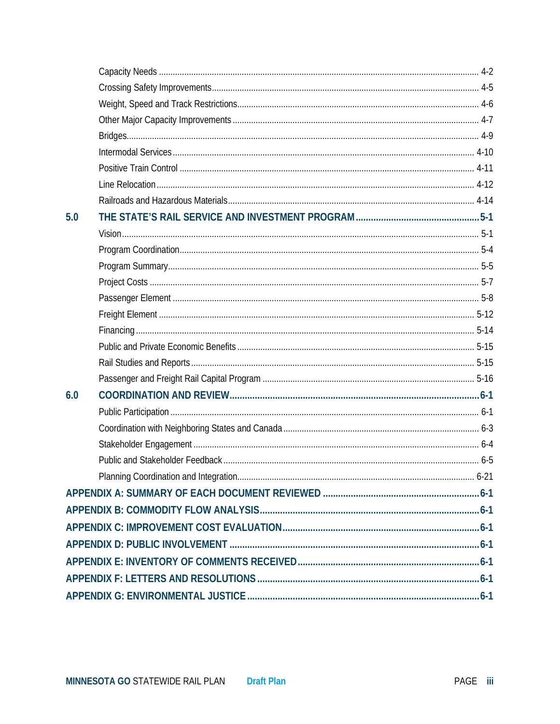| 5.0 |  |  |
|-----|--|--|
|     |  |  |
|     |  |  |
|     |  |  |
|     |  |  |
|     |  |  |
|     |  |  |
|     |  |  |
|     |  |  |
|     |  |  |
|     |  |  |
| 6.0 |  |  |
|     |  |  |
|     |  |  |
|     |  |  |
|     |  |  |
|     |  |  |
|     |  |  |
|     |  |  |
|     |  |  |
|     |  |  |
|     |  |  |
|     |  |  |
|     |  |  |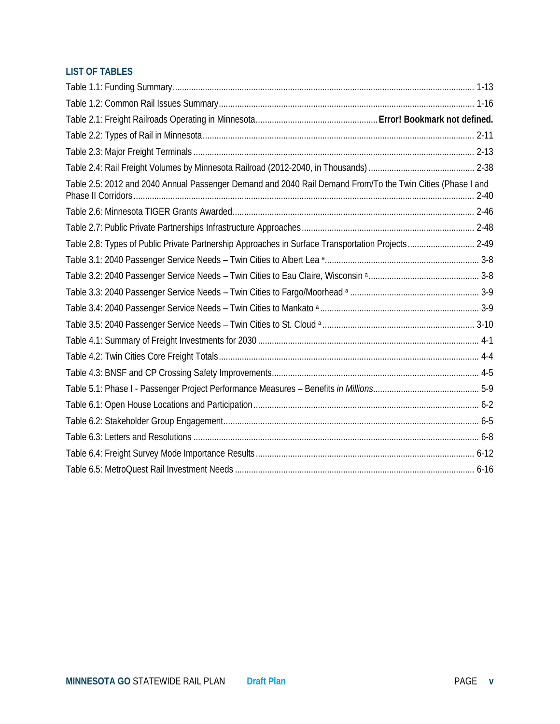## **LIST OF TABLES**

| Table 2.5: 2012 and 2040 Annual Passenger Demand and 2040 Rail Demand From/To the Twin Cities (Phase I and |  |
|------------------------------------------------------------------------------------------------------------|--|
|                                                                                                            |  |
|                                                                                                            |  |
| Table 2.8: Types of Public Private Partnership Approaches in Surface Transportation Projects 2-49          |  |
|                                                                                                            |  |
|                                                                                                            |  |
|                                                                                                            |  |
|                                                                                                            |  |
|                                                                                                            |  |
|                                                                                                            |  |
|                                                                                                            |  |
|                                                                                                            |  |
|                                                                                                            |  |
|                                                                                                            |  |
|                                                                                                            |  |
|                                                                                                            |  |
|                                                                                                            |  |
|                                                                                                            |  |